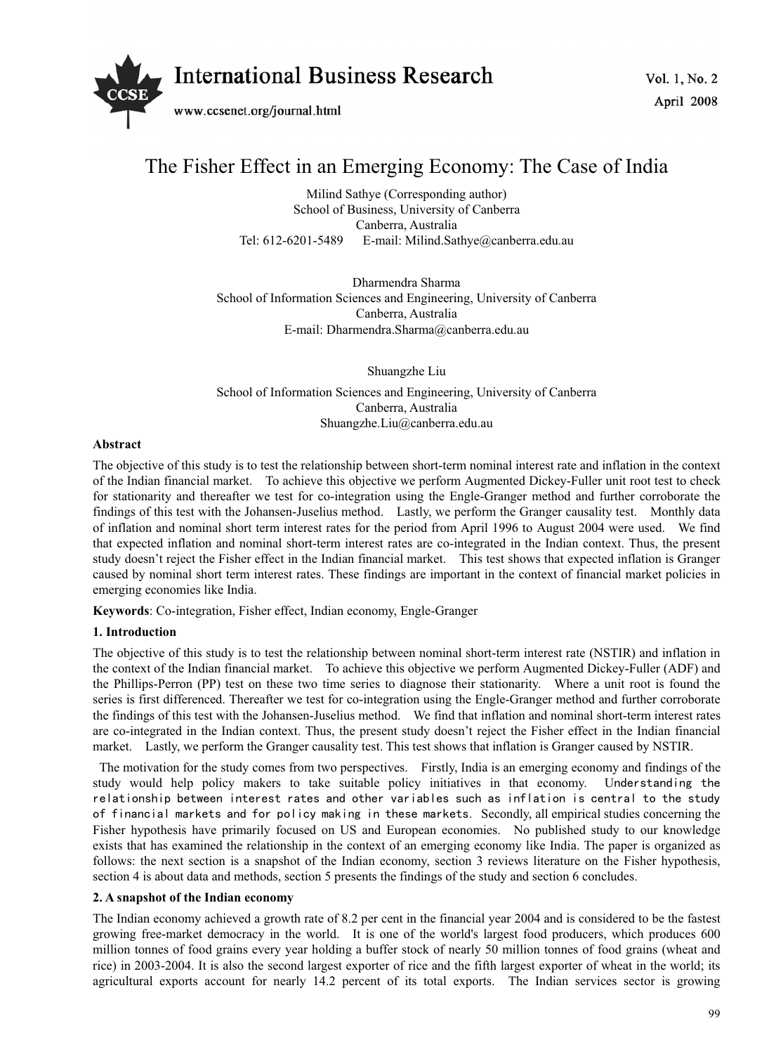

# The Fisher Effect in an Emerging Economy: The Case of India

Milind Sathye (Corresponding author) School of Business, University of Canberra Canberra, Australia Tel: 612-6201-5489 E-mail: Milind.Sathye@canberra.edu.au

Dharmendra Sharma School of Information Sciences and Engineering, University of Canberra Canberra, Australia E-mail: Dharmendra.Sharma@canberra.edu.au

Shuangzhe Liu School of Information Sciences and Engineering, University of Canberra Canberra, Australia Shuangzhe.Liu@canberra.edu.au

#### **Abstract**

The objective of this study is to test the relationship between short-term nominal interest rate and inflation in the context of the Indian financial market. To achieve this objective we perform Augmented Dickey-Fuller unit root test to check for stationarity and thereafter we test for co-integration using the Engle-Granger method and further corroborate the findings of this test with the Johansen-Juselius method. Lastly, we perform the Granger causality test. Monthly data of inflation and nominal short term interest rates for the period from April 1996 to August 2004 were used. We find that expected inflation and nominal short-term interest rates are co-integrated in the Indian context. Thus, the present study doesn't reject the Fisher effect in the Indian financial market. This test shows that expected inflation is Granger caused by nominal short term interest rates. These findings are important in the context of financial market policies in emerging economies like India.

**Keywords**: Co-integration, Fisher effect, Indian economy, Engle-Granger

## **1. Introduction**

The objective of this study is to test the relationship between nominal short-term interest rate (NSTIR) and inflation in the context of the Indian financial market. To achieve this objective we perform Augmented Dickey-Fuller (ADF) and the Phillips-Perron (PP) test on these two time series to diagnose their stationarity. Where a unit root is found the series is first differenced. Thereafter we test for co-integration using the Engle-Granger method and further corroborate the findings of this test with the Johansen-Juselius method. We find that inflation and nominal short-term interest rates are co-integrated in the Indian context. Thus, the present study doesn't reject the Fisher effect in the Indian financial market. Lastly, we perform the Granger causality test. This test shows that inflation is Granger caused by NSTIR.

 The motivation for the study comes from two perspectives. Firstly, India is an emerging economy and findings of the study would help policy makers to take suitable policy initiatives in that economy. Understanding the relationship between interest rates and other variables such as inflation is central to the study of financial markets and for policy making in these markets. Secondly, all empirical studies concerning the Fisher hypothesis have primarily focused on US and European economies. No published study to our knowledge exists that has examined the relationship in the context of an emerging economy like India. The paper is organized as follows: the next section is a snapshot of the Indian economy, section 3 reviews literature on the Fisher hypothesis, section 4 is about data and methods, section 5 presents the findings of the study and section 6 concludes.

## **2. A snapshot of the Indian economy**

The Indian economy achieved a growth rate of 8.2 per cent in the financial year 2004 and is considered to be the fastest growing free-market democracy in the world. It is one of the world's largest food producers, which produces 600 million tonnes of food grains every year holding a buffer stock of nearly 50 million tonnes of food grains (wheat and rice) in 2003-2004. It is also the second largest exporter of rice and the fifth largest exporter of wheat in the world; its agricultural exports account for nearly 14.2 percent of its total exports. The Indian services sector is growing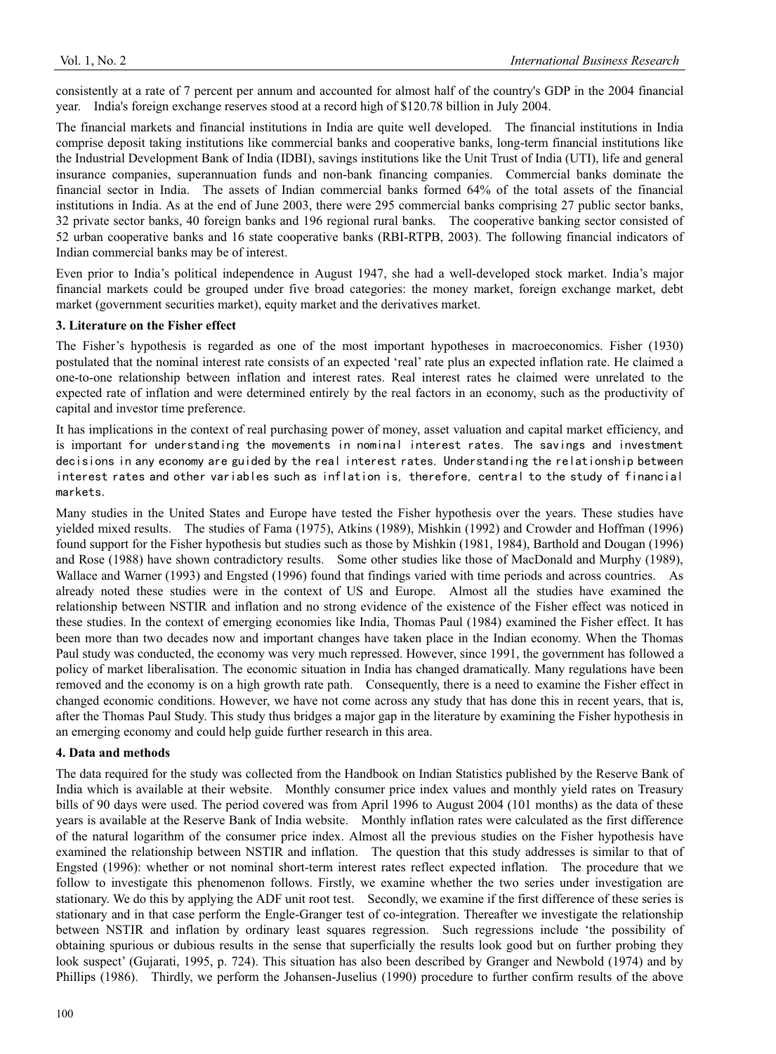consistently at a rate of 7 percent per annum and accounted for almost half of the country's GDP in the 2004 financial year. India's foreign exchange reserves stood at a record high of \$120.78 billion in July 2004.

The financial markets and financial institutions in India are quite well developed. The financial institutions in India comprise deposit taking institutions like commercial banks and cooperative banks, long-term financial institutions like the Industrial Development Bank of India (IDBI), savings institutions like the Unit Trust of India (UTI), life and general insurance companies, superannuation funds and non-bank financing companies. Commercial banks dominate the financial sector in India. The assets of Indian commercial banks formed 64% of the total assets of the financial institutions in India. As at the end of June 2003, there were 295 commercial banks comprising 27 public sector banks, 32 private sector banks, 40 foreign banks and 196 regional rural banks. The cooperative banking sector consisted of 52 urban cooperative banks and 16 state cooperative banks (RBI-RTPB, 2003). The following financial indicators of Indian commercial banks may be of interest.

Even prior to India's political independence in August 1947, she had a well-developed stock market. India's major financial markets could be grouped under five broad categories: the money market, foreign exchange market, debt market (government securities market), equity market and the derivatives market.

#### **3. Literature on the Fisher effect**

The Fisher's hypothesis is regarded as one of the most important hypotheses in macroeconomics. Fisher (1930) postulated that the nominal interest rate consists of an expected 'real' rate plus an expected inflation rate. He claimed a one-to-one relationship between inflation and interest rates. Real interest rates he claimed were unrelated to the expected rate of inflation and were determined entirely by the real factors in an economy, such as the productivity of capital and investor time preference.

It has implications in the context of real purchasing power of money, asset valuation and capital market efficiency, and is important for understanding the movements in nominal interest rates. The savings and investment decisions in any economy are guided by the real interest rates. Understanding the relationship between interest rates and other variables such as inflation is, therefore, central to the study of financial markets.

Many studies in the United States and Europe have tested the Fisher hypothesis over the years. These studies have yielded mixed results. The studies of Fama (1975), Atkins (1989), Mishkin (1992) and Crowder and Hoffman (1996) found support for the Fisher hypothesis but studies such as those by Mishkin (1981, 1984), Barthold and Dougan (1996) and Rose (1988) have shown contradictory results. Some other studies like those of MacDonald and Murphy (1989), Wallace and Warner (1993) and Engsted (1996) found that findings varied with time periods and across countries. As already noted these studies were in the context of US and Europe. Almost all the studies have examined the relationship between NSTIR and inflation and no strong evidence of the existence of the Fisher effect was noticed in these studies. In the context of emerging economies like India, Thomas Paul (1984) examined the Fisher effect. It has been more than two decades now and important changes have taken place in the Indian economy. When the Thomas Paul study was conducted, the economy was very much repressed. However, since 1991, the government has followed a policy of market liberalisation. The economic situation in India has changed dramatically. Many regulations have been removed and the economy is on a high growth rate path. Consequently, there is a need to examine the Fisher effect in changed economic conditions. However, we have not come across any study that has done this in recent years, that is, after the Thomas Paul Study. This study thus bridges a major gap in the literature by examining the Fisher hypothesis in an emerging economy and could help guide further research in this area.

## **4. Data and methods**

The data required for the study was collected from the Handbook on Indian Statistics published by the Reserve Bank of India which is available at their website. Monthly consumer price index values and monthly yield rates on Treasury bills of 90 days were used. The period covered was from April 1996 to August 2004 (101 months) as the data of these years is available at the Reserve Bank of India website. Monthly inflation rates were calculated as the first difference of the natural logarithm of the consumer price index. Almost all the previous studies on the Fisher hypothesis have examined the relationship between NSTIR and inflation. The question that this study addresses is similar to that of Engsted (1996): whether or not nominal short-term interest rates reflect expected inflation. The procedure that we follow to investigate this phenomenon follows. Firstly, we examine whether the two series under investigation are stationary. We do this by applying the ADF unit root test. Secondly, we examine if the first difference of these series is stationary and in that case perform the Engle-Granger test of co-integration. Thereafter we investigate the relationship between NSTIR and inflation by ordinary least squares regression. Such regressions include 'the possibility of obtaining spurious or dubious results in the sense that superficially the results look good but on further probing they look suspect' (Gujarati, 1995, p. 724). This situation has also been described by Granger and Newbold (1974) and by Phillips (1986). Thirdly, we perform the Johansen-Juselius (1990) procedure to further confirm results of the above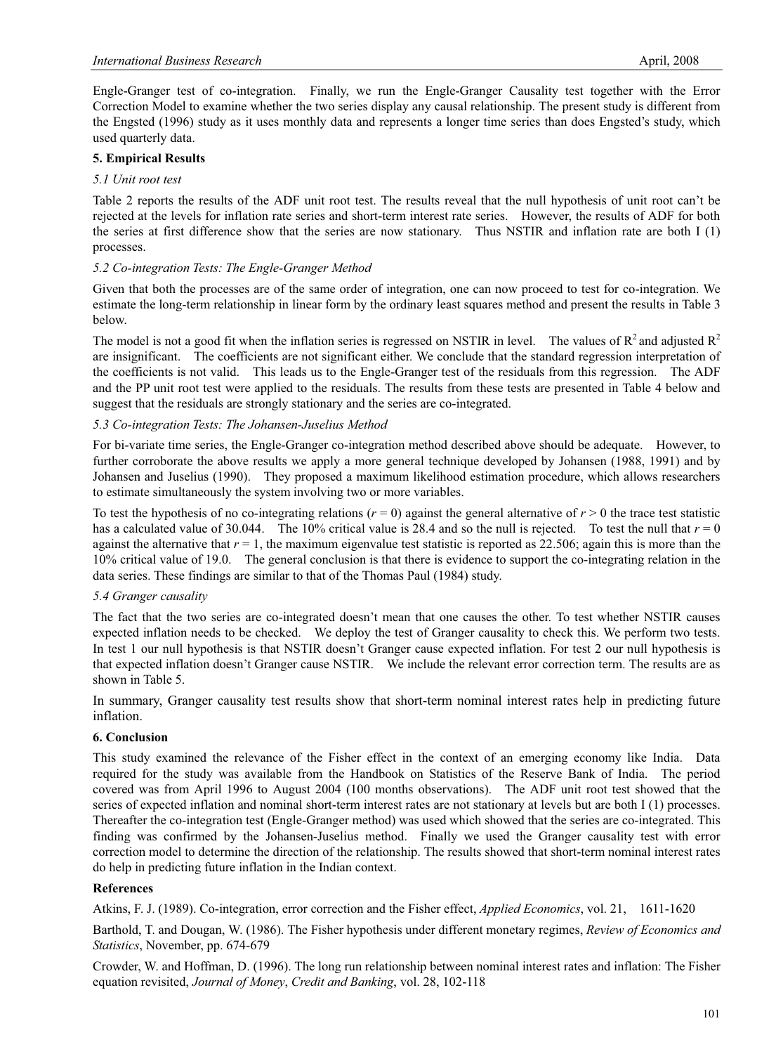Engle-Granger test of co-integration. Finally, we run the Engle-Granger Causality test together with the Error Correction Model to examine whether the two series display any causal relationship. The present study is different from the Engsted (1996) study as it uses monthly data and represents a longer time series than does Engsted's study, which used quarterly data.

#### **5. Empirical Results**

#### *5.1 Unit root test*

Table 2 reports the results of the ADF unit root test. The results reveal that the null hypothesis of unit root can't be rejected at the levels for inflation rate series and short-term interest rate series. However, the results of ADF for both the series at first difference show that the series are now stationary. Thus NSTIR and inflation rate are both I (1) processes.

#### *5.2 Co-integration Tests: The Engle-Granger Method*

Given that both the processes are of the same order of integration, one can now proceed to test for co-integration. We estimate the long-term relationship in linear form by the ordinary least squares method and present the results in Table 3 below.

The model is not a good fit when the inflation series is regressed on NSTIR in level. The values of  $R^2$  and adjusted  $R^2$ are insignificant. The coefficients are not significant either. We conclude that the standard regression interpretation of the coefficients is not valid. This leads us to the Engle-Granger test of the residuals from this regression. The ADF and the PP unit root test were applied to the residuals. The results from these tests are presented in Table 4 below and suggest that the residuals are strongly stationary and the series are co-integrated.

#### *5.3 Co-integration Tests: The Johansen-Juselius Method*

For bi-variate time series, the Engle-Granger co-integration method described above should be adequate. However, to further corroborate the above results we apply a more general technique developed by Johansen (1988, 1991) and by Johansen and Juselius (1990). They proposed a maximum likelihood estimation procedure, which allows researchers to estimate simultaneously the system involving two or more variables.

To test the hypothesis of no co-integrating relations  $(r = 0)$  against the general alternative of  $r > 0$  the trace test statistic has a calculated value of 30.044. The 10% critical value is 28.4 and so the null is rejected. To test the null that  $r = 0$ against the alternative that  $r = 1$ , the maximum eigenvalue test statistic is reported as 22.506; again this is more than the 10% critical value of 19.0. The general conclusion is that there is evidence to support the co-integrating relation in the data series. These findings are similar to that of the Thomas Paul (1984) study.

## *5.4 Granger causality*

The fact that the two series are co-integrated doesn't mean that one causes the other. To test whether NSTIR causes expected inflation needs to be checked. We deploy the test of Granger causality to check this. We perform two tests. In test 1 our null hypothesis is that NSTIR doesn't Granger cause expected inflation. For test 2 our null hypothesis is that expected inflation doesn't Granger cause NSTIR. We include the relevant error correction term. The results are as shown in Table 5.

In summary, Granger causality test results show that short-term nominal interest rates help in predicting future inflation.

## **6. Conclusion**

This study examined the relevance of the Fisher effect in the context of an emerging economy like India. Data required for the study was available from the Handbook on Statistics of the Reserve Bank of India. The period covered was from April 1996 to August 2004 (100 months observations). The ADF unit root test showed that the series of expected inflation and nominal short-term interest rates are not stationary at levels but are both I (1) processes. Thereafter the co-integration test (Engle-Granger method) was used which showed that the series are co-integrated. This finding was confirmed by the Johansen-Juselius method. Finally we used the Granger causality test with error correction model to determine the direction of the relationship. The results showed that short-term nominal interest rates do help in predicting future inflation in the Indian context.

## **References**

Atkins, F. J. (1989). Co-integration, error correction and the Fisher effect, *Applied Economics*, vol. 21, 1611-1620

Barthold, T. and Dougan, W. (1986). The Fisher hypothesis under different monetary regimes, *Review of Economics and Statistics*, November, pp. 674-679

Crowder, W. and Hoffman, D. (1996). The long run relationship between nominal interest rates and inflation: The Fisher equation revisited, *Journal of Money*, *Credit and Banking*, vol. 28, 102-118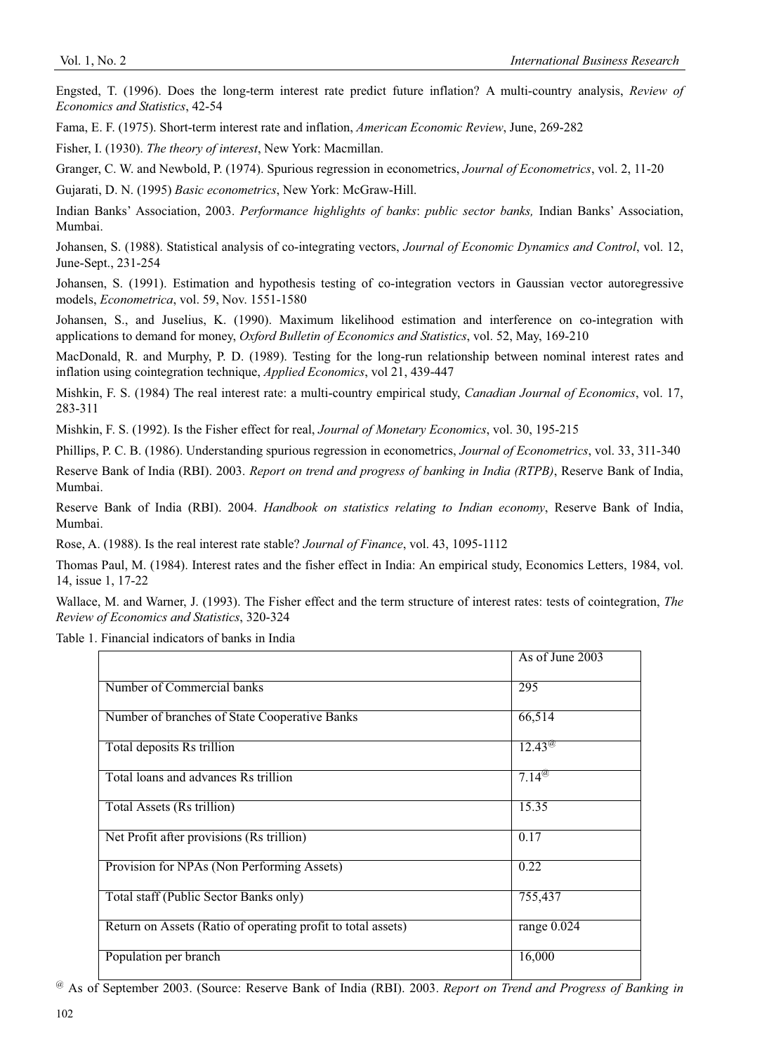Engsted, T. (1996). Does the long-term interest rate predict future inflation? A multi-country analysis, *Review of Economics and Statistics*, 42-54

Fama, E. F. (1975). Short-term interest rate and inflation, *American Economic Review*, June, 269-282

Fisher, I. (1930). *The theory of interest*, New York: Macmillan.

Granger, C. W. and Newbold, P. (1974). Spurious regression in econometrics, *Journal of Econometrics*, vol. 2, 11-20

Gujarati, D. N. (1995) *Basic econometrics*, New York: McGraw-Hill.

Indian Banks' Association, 2003. *Performance highlights of banks*: *public sector banks,* Indian Banks' Association, Mumbai.

Johansen, S. (1988). Statistical analysis of co-integrating vectors, *Journal of Economic Dynamics and Control*, vol. 12, June-Sept., 231-254

Johansen, S. (1991). Estimation and hypothesis testing of co-integration vectors in Gaussian vector autoregressive models, *Econometrica*, vol. 59, Nov. 1551-1580

Johansen, S., and Juselius, K. (1990). Maximum likelihood estimation and interference on co-integration with applications to demand for money, *Oxford Bulletin of Economics and Statistics*, vol. 52, May, 169-210

MacDonald, R. and Murphy, P. D. (1989). Testing for the long-run relationship between nominal interest rates and inflation using cointegration technique, *Applied Economics*, vol 21, 439-447

Mishkin, F. S. (1984) The real interest rate: a multi-country empirical study, *Canadian Journal of Economics*, vol. 17, 283-311

Mishkin, F. S. (1992). Is the Fisher effect for real, *Journal of Monetary Economics*, vol. 30, 195-215

Phillips, P. C. B. (1986). Understanding spurious regression in econometrics, *Journal of Econometrics*, vol. 33, 311-340

Reserve Bank of India (RBI). 2003. *Report on trend and progress of banking in India (RTPB)*, Reserve Bank of India, Mumbai.

Reserve Bank of India (RBI). 2004. *Handbook on statistics relating to Indian economy*, Reserve Bank of India, Mumbai.

Rose, A. (1988). Is the real interest rate stable? *Journal of Finance*, vol. 43, 1095-1112

Thomas Paul, M. (1984). Interest rates and the fisher effect in India: An empirical study, Economics Letters, 1984, vol. 14, issue 1, 17-22

Wallace, M. and Warner, J. (1993). The Fisher effect and the term structure of interest rates: tests of cointegration, *The Review of Economics and Statistics*, 320-324

Table 1. Financial indicators of banks in India

|                                                              | As of June 2003      |
|--------------------------------------------------------------|----------------------|
| Number of Commercial banks                                   | 295                  |
| Number of branches of State Cooperative Banks                | 66,514               |
| Total deposits Rs trillion                                   | $12.43^{\circ\circ}$ |
| Total loans and advances Rs trillion                         | $7.14^{\circ}$       |
| Total Assets (Rs trillion)                                   | 15.35                |
| Net Profit after provisions (Rs trillion)                    | 0.17                 |
| Provision for NPAs (Non Performing Assets)                   | 0.22                 |
| Total staff (Public Sector Banks only)                       | 755,437              |
| Return on Assets (Ratio of operating profit to total assets) | range $0.024$        |
| Population per branch                                        | 16,000               |

@ As of September 2003. (Source: Reserve Bank of India (RBI). 2003. *Report on Trend and Progress of Banking in*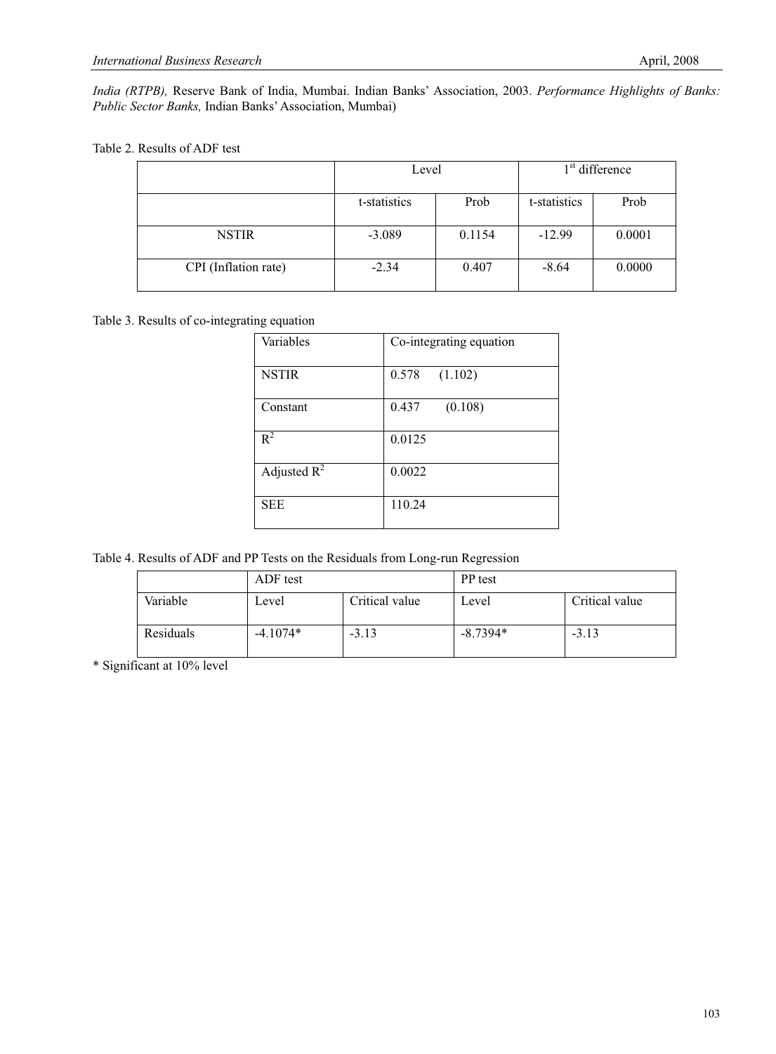*India (RTPB),* Reserve Bank of India, Mumbai. Indian Banks' Association, 2003. *Performance Highlights of Banks: Public Sector Banks,* Indian Banks' Association, Mumbai)

## Table 2. Results of ADF test

|                      | Level        |        | 1 <sup>st</sup> difference |        |  |
|----------------------|--------------|--------|----------------------------|--------|--|
|                      | t-statistics | Prob   | t-statistics               | Prob   |  |
| <b>NSTIR</b>         | $-3.089$     | 0.1154 | $-12.99$                   | 0.0001 |  |
| CPI (Inflation rate) | $-2.34$      | 0.407  | $-8.64$                    | 0.0000 |  |

## Table 3. Results of co-integrating equation

| Variables      | Co-integrating equation |  |  |
|----------------|-------------------------|--|--|
| <b>NSTIR</b>   | 0.578<br>(1.102)        |  |  |
| Constant       | 0.437<br>(0.108)        |  |  |
| $R^2$          | 0.0125                  |  |  |
| Adjusted $R^2$ | 0.0022                  |  |  |
| <b>SEE</b>     | 110.24                  |  |  |

| Table 4. Results of ADF and PP Tests on the Residuals from Long-run Regression |  |  |  |
|--------------------------------------------------------------------------------|--|--|--|
|--------------------------------------------------------------------------------|--|--|--|

|           | ADF test   |                | <b>PP</b> test |                |  |
|-----------|------------|----------------|----------------|----------------|--|
| Variable  | Level      | Critical value | Level          | Critical value |  |
| Residuals | $-4.1074*$ | $-3.13$        | $-8.7394*$     | $-3.13$        |  |

\* Significant at 10% level